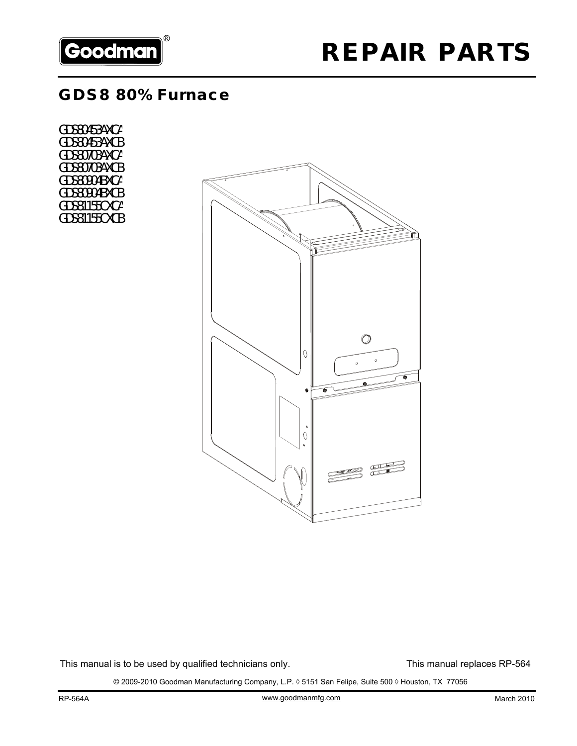

## **GDS8 80% Furnace**

GDS80453AXCA GDS80453AXCB GDS80703AXCA GDS80703AXCB GDS80904BXCA GDS80904BXCB GDS81155CXCA GDS81155CXCB



This manual is to be used by qualified technicians only. This manual replaces RP-564

© 2009-2010 Goodman Manufacturing Company, L.P. ◊ 5151 San Felipe, Suite 500 ◊ Houston, TX 77056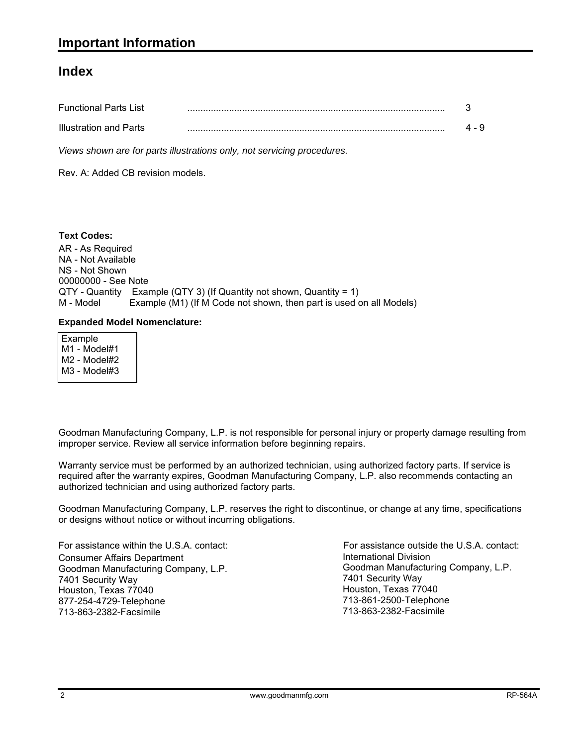### **Index**

| <b>Functional Parts List</b> |  |
|------------------------------|--|
| Illustration and Parts       |  |

*Views shown are for parts illustrations only, not servicing procedures.*

Rev. A: Added CB revision models.

AR - As Required NA - Not Available NS - Not Shown 00000000 - See Note QTY - Quantity Example (QTY 3) (If Quantity not shown, Quantity = 1) M - Model Example (M1) (If M Code not shown, then part is used on all Models) **Text Codes:**

#### **Expanded Model Nomenclature:**

 Example M1 - Model#1 M2 - Model#2 M3 - Model#3

Goodman Manufacturing Company, L.P. is not responsible for personal injury or property damage resulting from improper service. Review all service information before beginning repairs.

Warranty service must be performed by an authorized technician, using authorized factory parts. If service is required after the warranty expires, Goodman Manufacturing Company, L.P. also recommends contacting an authorized technician and using authorized factory parts.

Goodman Manufacturing Company, L.P. reserves the right to discontinue, or change at any time, specifications or designs without notice or without incurring obligations.

For assistance within the U.S.A. contact: Consumer Affairs Department Goodman Manufacturing Company, L.P. 7401 Security Way Houston, Texas 77040 877-254-4729-Telephone 713-863-2382-Facsimile

International Division International Division<br>Goodman Manufacturing Company, L.P. 7401 Security Way Houston, Texas 77040 713-861-2500-Telephone 713-863-2382-Facsimile For assistance outside the U.S.A. contact: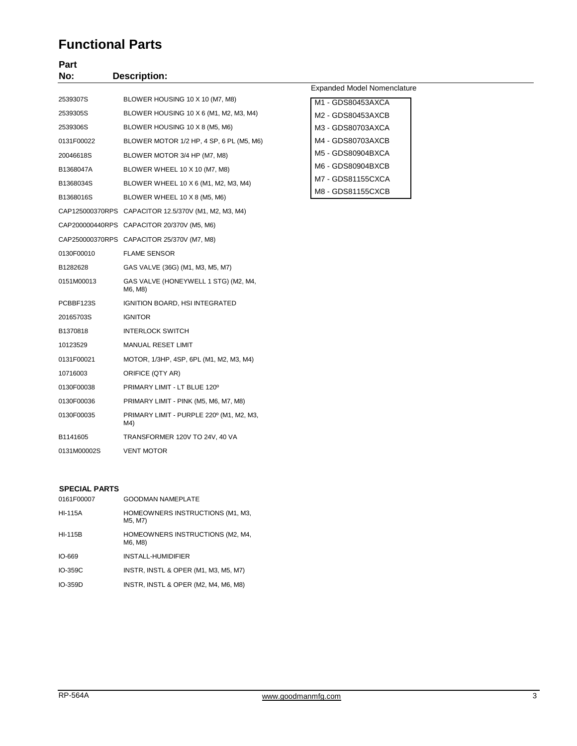### **Functional Parts**

### **Part No: Description:**

|             |                                                      | E١ |
|-------------|------------------------------------------------------|----|
| 2539307S    | BLOWER HOUSING 10 X 10 (M7, M8)                      | Λ  |
| 2539305S    | BLOWER HOUSING 10 X 6 (M1, M2, M3, M4)               | ٨  |
| 2539306S    | BLOWER HOUSING 10 X 8 (M5, M6)                       | ٨  |
| 0131F00022  | BLOWER MOTOR 1/2 HP, 4 SP, 6 PL (M5, M6)             | ٨  |
| 20046618S   | BLOWER MOTOR 3/4 HP (M7, M8)                         | Λ  |
| B1368047A   | BLOWER WHEEL 10 X 10 (M7, M8)                        | ٨  |
| B1368034S   | BLOWER WHEEL 10 X 6 (M1, M2, M3, M4)                 | Λ  |
| B1368016S   | BLOWER WHEEL 10 X 8 (M5, M6)                         | Λ  |
|             | CAP125000370RPS CAPACITOR 12.5/370V (M1, M2, M3, M4) |    |
|             | CAP200000440RPS CAPACITOR 20/370V (M5, M6)           |    |
|             | CAP250000370RPS CAPACITOR 25/370V (M7, M8)           |    |
| 0130F00010  | <b>FLAME SENSOR</b>                                  |    |
| B1282628    | GAS VALVE (36G) (M1, M3, M5, M7)                     |    |
| 0151M00013  | GAS VALVE (HONEYWELL 1 STG) (M2, M4,<br>M6, M8)      |    |
| PCBBF123S   | IGNITION BOARD, HSI INTEGRATED                       |    |
| 20165703S   | <b>IGNITOR</b>                                       |    |
| B1370818    | <b>INTERLOCK SWITCH</b>                              |    |
| 10123529    | <b>MANUAL RESET LIMIT</b>                            |    |
| 0131F00021  | MOTOR, 1/3HP, 4SP, 6PL (M1, M2, M3, M4)              |    |
| 10716003    | ORIFICE (QTY AR)                                     |    |
| 0130F00038  | PRIMARY LIMIT - LT BLUE 120°                         |    |
| 0130F00036  | PRIMARY LIMIT - PINK (M5, M6, M7, M8)                |    |
| 0130F00035  | PRIMARY LIMIT - PURPLE 220° (M1, M2, M3,<br>M4)      |    |
| B1141605    | TRANSFORMER 120V TO 24V, 40 VA                       |    |
| 0131M00002S | <b>VENT MOTOR</b>                                    |    |

#### Expanded Model Nomenclature

| M1 - GDS80453AXCA |  |
|-------------------|--|
| M2 - GDS80453AXCB |  |
| M3 - GDS80703AXCA |  |
| M4 - GDS80703AXCB |  |
| M5 - GDS80904BXCA |  |
| M6 - GDS80904BXCB |  |
| M7 - GDS81155CXCA |  |
| M8 - GDS81155CXCB |  |

#### **SPECIAL PARTS**

| 0161F00007     | <b>GOODMAN NAMEPLATE</b>                    |
|----------------|---------------------------------------------|
| <b>HI-115A</b> | HOMEOWNERS INSTRUCTIONS (M1, M3,<br>M5, M7) |
| <b>HI-115B</b> | HOMEOWNERS INSTRUCTIONS (M2, M4,<br>M6, M8) |
| $IO-669$       | INSTALL-HUMIDIFIER                          |
| IO-359C        | INSTR, INSTL & OPER (M1, M3, M5, M7)        |
| $IO-359D$      | INSTR, INSTL & OPER (M2, M4, M6, M8)        |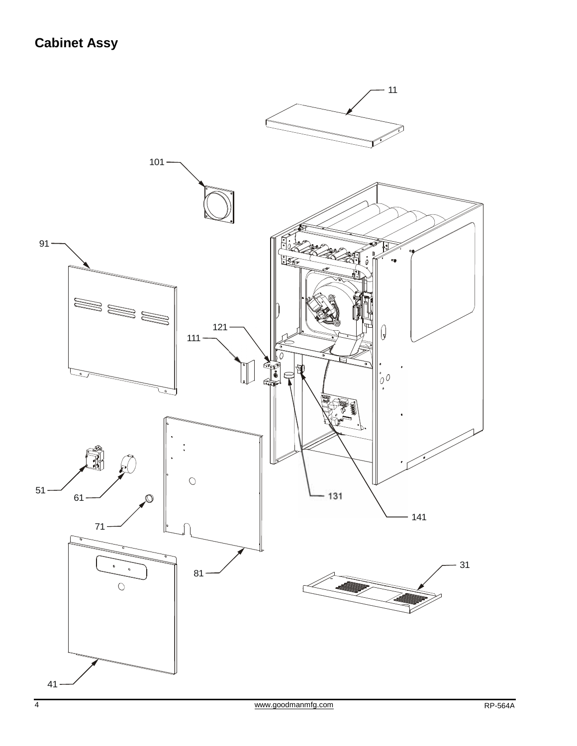# **Cabinet Assy**

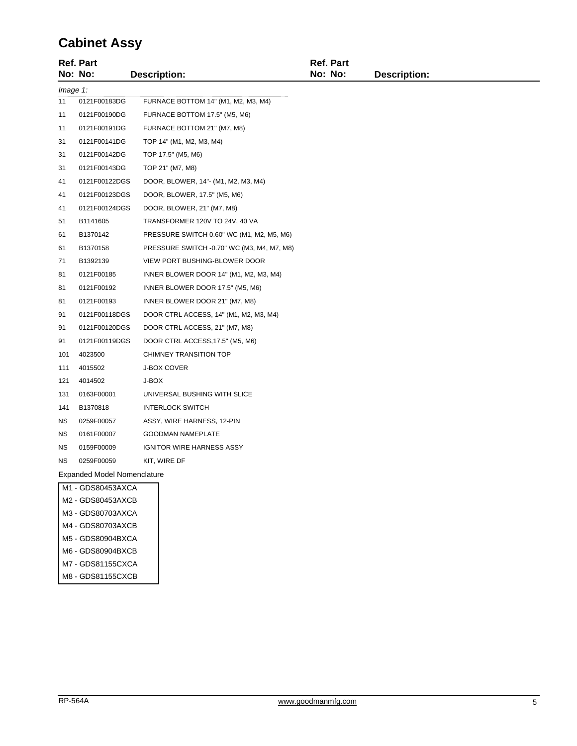## **Cabinet Assy**

|           | <b>Ref. Part</b> |                                            | Ref. Part |                     |
|-----------|------------------|--------------------------------------------|-----------|---------------------|
|           | No: No:          | <b>Description:</b>                        | No: No:   | <b>Description:</b> |
| Image 1:  |                  |                                            |           |                     |
| 11        | 0121F00183DG     | FURNACE BOTTOM 14" (M1, M2, M3, M4)        |           |                     |
| 11        | 0121F00190DG     | FURNACE BOTTOM 17.5" (M5, M6)              |           |                     |
| 11        | 0121F00191DG     | FURNACE BOTTOM 21" (M7, M8)                |           |                     |
| 31        | 0121F00141DG     | TOP 14" (M1, M2, M3, M4)                   |           |                     |
| 31        | 0121F00142DG     | TOP 17.5" (M5, M6)                         |           |                     |
| 31        | 0121F00143DG     | TOP 21" (M7, M8)                           |           |                     |
| 41        | 0121F00122DGS    | DOOR, BLOWER, 14"- (M1, M2, M3, M4)        |           |                     |
| 41        | 0121F00123DGS    | DOOR, BLOWER, 17.5" (M5, M6)               |           |                     |
| 41        | 0121F00124DGS    | DOOR, BLOWER, 21" (M7, M8)                 |           |                     |
| 51        | B1141605         | TRANSFORMER 120V TO 24V, 40 VA             |           |                     |
| 61        | B1370142         | PRESSURE SWITCH 0.60" WC (M1, M2, M5, M6)  |           |                     |
| 61        | B1370158         | PRESSURE SWITCH -0.70" WC (M3, M4, M7, M8) |           |                     |
| 71        | B1392139         | VIEW PORT BUSHING-BLOWER DOOR              |           |                     |
| 81        | 0121F00185       | INNER BLOWER DOOR 14" (M1, M2, M3, M4)     |           |                     |
| 81        | 0121F00192       | INNER BLOWER DOOR 17.5" (M5, M6)           |           |                     |
| 81        | 0121F00193       | INNER BLOWER DOOR 21" (M7, M8)             |           |                     |
| 91        | 0121F00118DGS    | DOOR CTRL ACCESS, 14" (M1, M2, M3, M4)     |           |                     |
| 91        | 0121F00120DGS    | DOOR CTRL ACCESS, 21" (M7, M8)             |           |                     |
| 91        | 0121F00119DGS    | DOOR CTRL ACCESS, 17.5" (M5, M6)           |           |                     |
| 101       | 4023500          | CHIMNEY TRANSITION TOP                     |           |                     |
| 111       | 4015502          | J-BOX COVER                                |           |                     |
| 121       | 4014502          | J-BOX                                      |           |                     |
| 131       | 0163F00001       | UNIVERSAL BUSHING WITH SLICE               |           |                     |
| 141       | B1370818         | <b>INTERLOCK SWITCH</b>                    |           |                     |
| NS        | 0259F00057       | ASSY, WIRE HARNESS, 12-PIN                 |           |                     |
| <b>NS</b> | 0161F00007       | <b>GOODMAN NAMEPLATE</b>                   |           |                     |
| ΝS        | 0159F00009       | IGNITOR WIRE HARNESS ASSY                  |           |                     |
| <b>NS</b> | 0259F00059       | KIT, WIRE DF                               |           |                     |
|           |                  |                                            |           |                     |

Expanded Model Nomenclature

| M1 - GDS80453AXCA |
|-------------------|
| M2 - GDS80453AXCB |
| M3 - GDS80703AXCA |
| M4 - GDS80703AXCB |
| M5 - GDS80904BXCA |
| M6 - GDS80904BXCB |
| M7 - GDS81155CXCA |
| M8 - GDS81155CXCB |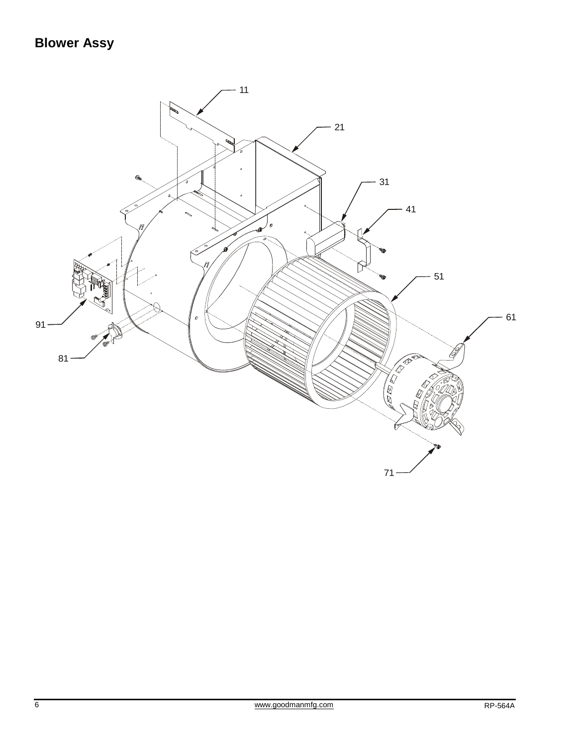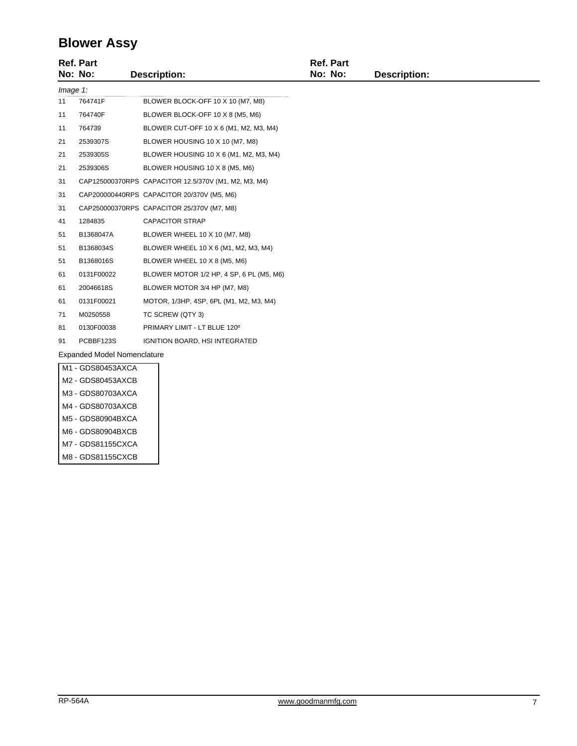## **Blower Assy**

|                                    | <b>Ref. Part</b><br>No: No: | <b>Description:</b>                                  | <b>Ref. Part</b><br>No: No: | <b>Description:</b> |
|------------------------------------|-----------------------------|------------------------------------------------------|-----------------------------|---------------------|
| $Image 1$ :                        |                             |                                                      |                             |                     |
| 11                                 | 764741F                     | BLOWER BLOCK-OFF 10 X 10 (M7, M8)                    |                             |                     |
| 11                                 | 764740F                     | BLOWER BLOCK-OFF 10 X 8 (M5, M6)                     |                             |                     |
| 11                                 | 764739                      | BLOWER CUT-OFF 10 X 6 (M1, M2, M3, M4)               |                             |                     |
| 21                                 | 2539307S                    | BLOWER HOUSING 10 X 10 (M7, M8)                      |                             |                     |
| 21                                 | 2539305S                    | BLOWER HOUSING 10 X 6 (M1, M2, M3, M4)               |                             |                     |
| 21                                 | 2539306S                    | BLOWER HOUSING 10 X 8 (M5, M6)                       |                             |                     |
| 31                                 |                             | CAP125000370RPS CAPACITOR 12.5/370V (M1, M2, M3, M4) |                             |                     |
| 31                                 |                             | CAP200000440RPS CAPACITOR 20/370V (M5, M6)           |                             |                     |
| 31                                 |                             | CAP250000370RPS CAPACITOR 25/370V (M7, M8)           |                             |                     |
| 41                                 | 1284835                     | <b>CAPACITOR STRAP</b>                               |                             |                     |
| 51                                 | B1368047A                   | BLOWER WHEEL 10 X 10 (M7, M8)                        |                             |                     |
| 51                                 | B1368034S                   | BLOWER WHEEL 10 X 6 (M1, M2, M3, M4)                 |                             |                     |
| 51                                 | B1368016S                   | BLOWER WHEEL 10 X 8 (M5, M6)                         |                             |                     |
| 61                                 | 0131F00022                  | BLOWER MOTOR 1/2 HP, 4 SP, 6 PL (M5, M6)             |                             |                     |
| 61                                 | 20046618S                   | BLOWER MOTOR 3/4 HP (M7, M8)                         |                             |                     |
| 61                                 | 0131F00021                  | MOTOR, 1/3HP, 4SP, 6PL (M1, M2, M3, M4)              |                             |                     |
| 71                                 | M0250558                    | TC SCREW (QTY 3)                                     |                             |                     |
| 81                                 | 0130F00038                  | PRIMARY LIMIT - LT BLUE 120°                         |                             |                     |
| 91                                 | PCBBF123S                   | IGNITION BOARD, HSI INTEGRATED                       |                             |                     |
| <b>Expanded Model Nomenclature</b> |                             |                                                      |                             |                     |
|                                    | M1 - GDS80453AXCA           |                                                      |                             |                     |
|                                    | M2 - GDS80453AXCB           |                                                      |                             |                     |

M3 - GDS80703AXCA M4 - GDS80703AXCB M5 - GDS80904BXCA M6 - GDS80904BXCB M7 - GDS81155CXCA M8 - GDS81155CXCB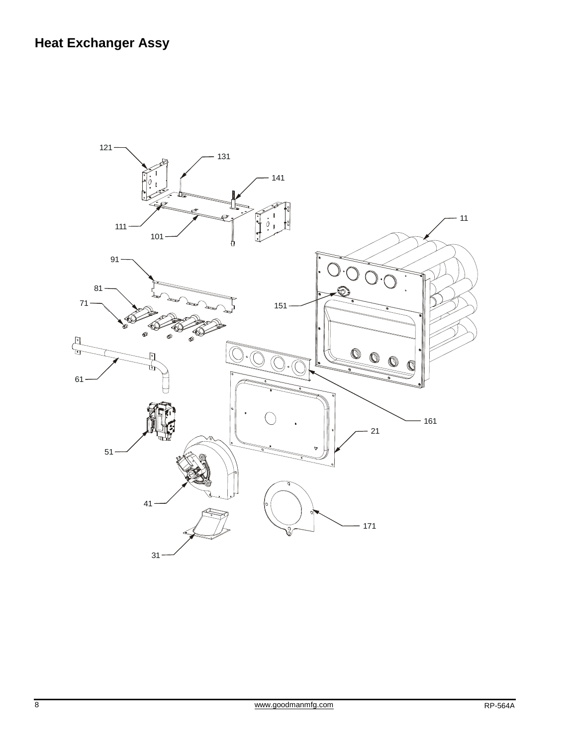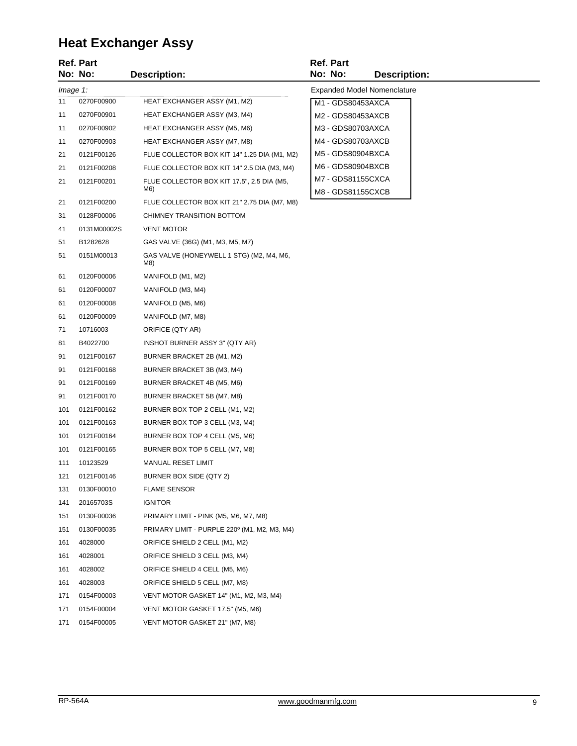# **Heat Exchanger Assy**

|          | <b>Ref. Part</b><br>No: No: | <b>Description:</b>                               | <b>Ref. Part</b><br>No: No:            | <b>Description:</b>                |
|----------|-----------------------------|---------------------------------------------------|----------------------------------------|------------------------------------|
| Image 1: |                             |                                                   |                                        | <b>Expanded Model Nomenclature</b> |
| 11       | 0270F00900                  | HEAT EXCHANGER ASSY (M1, M2)                      | M1 - GDS80453AXCA                      |                                    |
| 11       | 0270F00901                  | HEAT EXCHANGER ASSY (M3, M4)                      | M2 - GDS80453AXCB                      |                                    |
| 11       | 0270F00902                  | <b>HEAT EXCHANGER ASSY (M5, M6)</b>               | M3 - GDS80703AXCA                      |                                    |
| 11       | 0270F00903                  | HEAT EXCHANGER ASSY (M7, M8)                      | M4 - GDS80703AXCB                      |                                    |
| 21       | 0121F00126                  | FLUE COLLECTOR BOX KIT 14" 1.25 DIA (M1, M2)      | M5 - GDS80904BXCA                      |                                    |
| 21       | 0121F00208                  | FLUE COLLECTOR BOX KIT 14" 2.5 DIA (M3, M4)       | M6 - GDS80904BXCB                      |                                    |
| 21       | 0121F00201                  | FLUE COLLECTOR BOX KIT 17.5", 2.5 DIA (M5,<br>M6) | M7 - GDS81155CXCA<br>M8 - GDS81155CXCB |                                    |
| 21       | 0121F00200                  | FLUE COLLECTOR BOX KIT 21" 2.75 DIA (M7, M8)      |                                        |                                    |
| 31       | 0128F00006                  | CHIMNEY TRANSITION BOTTOM                         |                                        |                                    |
| 41       | 0131M00002S                 | <b>VENT MOTOR</b>                                 |                                        |                                    |
| 51       | B1282628                    | GAS VALVE (36G) (M1, M3, M5, M7)                  |                                        |                                    |
| 51       | 0151M00013                  | GAS VALVE (HONEYWELL 1 STG) (M2, M4, M6,<br>M8)   |                                        |                                    |
| 61       | 0120F00006                  | MANIFOLD (M1, M2)                                 |                                        |                                    |
| 61       | 0120F00007                  | MANIFOLD (M3, M4)                                 |                                        |                                    |
| 61       | 0120F00008                  | MANIFOLD (M5, M6)                                 |                                        |                                    |
| 61       | 0120F00009                  | MANIFOLD (M7, M8)                                 |                                        |                                    |
| 71       | 10716003                    | ORIFICE (QTY AR)                                  |                                        |                                    |
| 81       | B4022700                    | INSHOT BURNER ASSY 3" (QTY AR)                    |                                        |                                    |
| 91       | 0121F00167                  | BURNER BRACKET 2B (M1, M2)                        |                                        |                                    |
| 91       | 0121F00168                  | BURNER BRACKET 3B (M3, M4)                        |                                        |                                    |
| 91       | 0121F00169                  | BURNER BRACKET 4B (M5, M6)                        |                                        |                                    |
| 91       | 0121F00170                  | BURNER BRACKET 5B (M7, M8)                        |                                        |                                    |
| 101      | 0121F00162                  | BURNER BOX TOP 2 CELL (M1, M2)                    |                                        |                                    |
| 101      | 0121F00163                  | BURNER BOX TOP 3 CELL (M3, M4)                    |                                        |                                    |
| 101      | 0121F00164                  | BURNER BOX TOP 4 CELL (M5, M6)                    |                                        |                                    |
| 101      | 0121F00165                  | BURNER BOX TOP 5 CELL (M7, M8)                    |                                        |                                    |
| 111      | 10123529                    | <b>MANUAL RESET LIMIT</b>                         |                                        |                                    |
| 121      | 0121F00146                  | BURNER BOX SIDE (QTY 2)                           |                                        |                                    |
| 131      | 0130F00010                  | <b>FLAME SENSOR</b>                               |                                        |                                    |
| 141      | 20165703S                   | <b>IGNITOR</b>                                    |                                        |                                    |
| 151      | 0130F00036                  | PRIMARY LIMIT - PINK (M5, M6, M7, M8)             |                                        |                                    |
| 151      | 0130F00035                  | PRIMARY LIMIT - PURPLE 220° (M1, M2, M3, M4)      |                                        |                                    |
| 161      | 4028000                     | ORIFICE SHIELD 2 CELL (M1, M2)                    |                                        |                                    |
| 161      | 4028001                     | ORIFICE SHIELD 3 CELL (M3, M4)                    |                                        |                                    |
| 161      | 4028002                     | ORIFICE SHIELD 4 CELL (M5, M6)                    |                                        |                                    |
| 161      | 4028003                     | ORIFICE SHIELD 5 CELL (M7, M8)                    |                                        |                                    |
| 171      | 0154F00003                  | VENT MOTOR GASKET 14" (M1, M2, M3, M4)            |                                        |                                    |
| 171      | 0154F00004                  | VENT MOTOR GASKET 17.5" (M5, M6)                  |                                        |                                    |
| 171      | 0154F00005                  | VENT MOTOR GASKET 21" (M7, M8)                    |                                        |                                    |